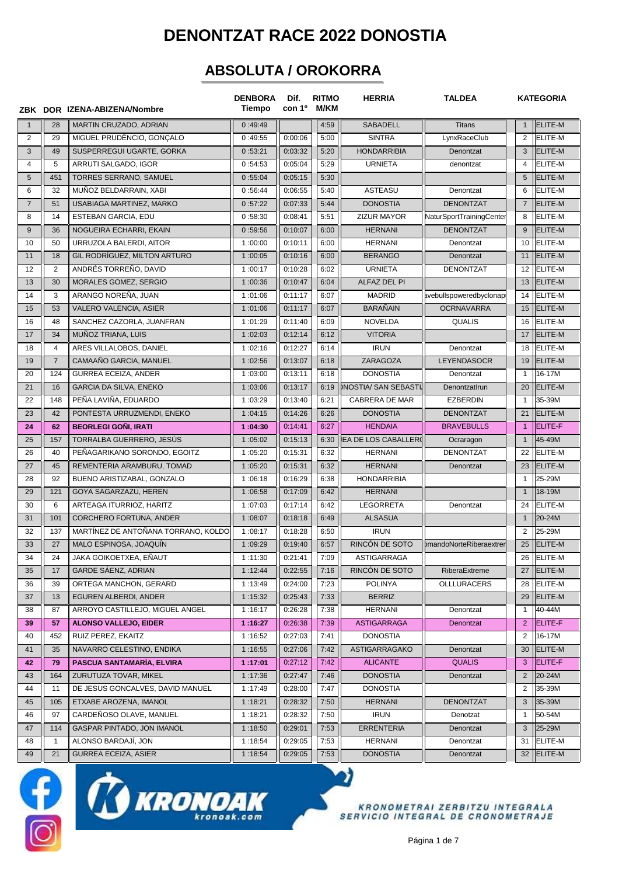## **DENONTZAT RACE 2022 DONOSTIA**

## **ABSOLUTA / OROKORRA**

|                |                | ZBK DOR IZENA-ABIZENA/Nombre        | <b>DENBORA</b><br><b>Tiempo</b> | Dif.<br>con 1 <sup>°</sup> | <b>RITMO</b><br><b>M/KM</b> | <b>HERRIA</b>               | <b>TALDEA</b>            |                | <b>KATEGORIA</b> |
|----------------|----------------|-------------------------------------|---------------------------------|----------------------------|-----------------------------|-----------------------------|--------------------------|----------------|------------------|
| $\overline{1}$ | 28             | MARTIN CRUZADO, ADRIAN              | 0:49:49                         |                            | 4:59                        | <b>SABADELL</b>             | <b>Titans</b>            | $\mathbf{1}$   | <b>ELITE-M</b>   |
| $\overline{2}$ | 29             | MIGUEL PRUDÊNCIO, GONCALO           | 0:49:55                         | 0:00:06                    | 5:00                        | <b>SINTRA</b>               | LynxRaceClub             | $\overline{2}$ | <b>ELITE-M</b>   |
| 3              | 49             | SUSPERREGUI UGARTE, GORKA           | 0:53:21                         | 0:03:32                    | 5:20                        | <b>HONDARRIBIA</b>          | Denontzat                | 3              | ELITE-M          |
| $\overline{4}$ | 5              | ARRUTI SALGADO, IGOR                | 0:54:53                         | 0:05:04                    | 5:29                        | <b>URNIETA</b>              | denontzat                | 4              | <b>ELITE-M</b>   |
| 5              | 451            | TORRES SERRANO, SAMUEL              | 0:55:04                         | 0:05:15                    | 5:30                        |                             |                          | 5              | <b>ELITE-M</b>   |
| 6              | 32             | MUÑOZ BELDARRAIN, XABI              | 0:56:44                         | 0:06:55                    | 5:40                        | <b>ASTEASU</b>              | Denontzat                | 6              | <b>ELITE-M</b>   |
| $\overline{7}$ | 51             | USABIAGA MARTINEZ, MARKO            | 0:57:22                         | 0:07:33                    | 5:44                        | <b>DONOSTIA</b>             | <b>DENONTZAT</b>         | $\overline{7}$ | <b>ELITE-M</b>   |
| 8              | 14             | ESTEBAN GARCIA, EDU                 | 0:58:30                         | 0:08:41                    | 5:51                        | <b>ZIZUR MAYOR</b>          | NaturSportTrainingCenter | 8              | <b>ELITE-M</b>   |
| 9              | 36             | NOGUEIRA ECHARRI, EKAIN             | 0:59:56                         | 0:10:07                    | 6:00                        | <b>HERNANI</b>              | <b>DENONTZAT</b>         | 9              | <b>ELITE-M</b>   |
| 10             | 50             | URRUZOLA BALERDI, AITOR             | 1:00:00                         | 0:10:11                    | 6:00                        | <b>HERNANI</b>              | Denontzat                | 10             | <b>ELITE-M</b>   |
| 11             | 18             | GIL RODRIGUEZ, MILTON ARTURO        | 1:00:05                         | 0:10:16                    | 6:00                        | <b>BERANGO</b>              | Denontzat                | 11             | ELITE-M          |
| 12             | $\overline{2}$ | ANDRÉS TORREÑO, DAVID               | 1:00:17                         | 0:10:28                    | 6:02                        | <b>URNIETA</b>              | <b>DENONTZAT</b>         | 12             | <b>ELITE-M</b>   |
| 13             | 30             | MORALES GOMEZ, SERGIO               | 1:00:36                         | 0:10:47                    | 6:04                        | ALFAZ DEL PI                |                          | 13             | <b>ELITE-M</b>   |
| 14             | 3              | ARANGO NOREÑA, JUAN                 | 1:01:06                         | 0:11:17                    | 6:07                        | <b>MADRID</b>               | avebullspoweredbyclonap  | 14             | <b>ELITE-M</b>   |
| 15             | 53             | VALERO VALENCIA, ASIER              | 1:01:06                         | 0:11:17                    | 6:07                        | <b>BARAÑAIN</b>             | <b>OCRNAVARRA</b>        |                | $15$  ELITE-M    |
| 16             | 48             | SANCHEZ CAZORLA, JUANFRAN           | 1:01:29                         | 0:11:40                    | 6:09                        | <b>NOVELDA</b>              | <b>QUALIS</b>            | 16             | <b>ELITE-M</b>   |
| 17             | 34             | MUÑOZ TRIANA, LUIS                  | 1:02:03                         | 0:12:14                    | 6:12                        | <b>VITORIA</b>              |                          | 17             | <b>ELITE-M</b>   |
| 18             | $\overline{4}$ | ARES VILLALOBOS, DANIEL             | 1:02:16                         | 0:12:27                    | 6:14                        | <b>IRUN</b>                 | Denontzat                | 18             | <b>ELITE-M</b>   |
| 19             | $\overline{7}$ | CAMAAÑO GARCIA, MANUEL              | 1:02:56                         | 0:13:07                    | 6:18                        | ZARAGOZA                    | <b>LEYENDASOCR</b>       | 19             | <b>ELITE-M</b>   |
| 20             | 124            | <b>GURREA ECEIZA, ANDER</b>         | 1:03:00                         | 0:13:11                    | 6:18                        | <b>DONOSTIA</b>             | Denontzat                | $\mathbf{1}$   | 16-17M           |
| 21             | 16             | <b>GARCIA DA SILVA, ENEKO</b>       | 1:03:06                         | 0:13:17                    | 6:19                        | <b>DNOSTIA/ SAN SEBASTI</b> | Denontzatlrun            | 20             | ELITE-M          |
| 22             | 148            | PEÑA LAVIÑA, EDUARDO                | 1:03:29                         | 0:13:40                    | 6:21                        | CABRERA DE MAR              | <b>EZBERDIN</b>          | $\mathbf{1}$   | 35-39M           |
| 23             | 42             | PONTESTA URRUZMENDI, ENEKO          | 1:04:15                         | 0:14:26                    | 6:26                        | <b>DONOSTIA</b>             | <b>DENONTZAT</b>         | 21             | ELITE-M          |
| 24             | 62             | <b>BEORLEGI GONI, IRATI</b>         | 1:04:30                         | 0:14:41                    | 6:27                        | <b>HENDAIA</b>              | <b>BRAVEBULLS</b>        | $\overline{1}$ | ELITE-F          |
| 25             | 157            | TORRALBA GUERRERO, JESÚS            | 1:05:02                         | 0:15:13                    | 6:30                        | <b>IEA DE LOS CABALLERO</b> | Ocraragon                | $\mathbf{1}$   | 45-49M           |
| 26             | 40             | PEÑAGARIKANO SORONDO, EGOITZ        | 1:05:20                         | 0:15:31                    | 6:32                        | <b>HERNANI</b>              | <b>DENONTZAT</b>         | 22             | <b>ELITE-M</b>   |
| 27             | 45             | REMENTERIA ARAMBURU, TOMAD          | 1:05:20                         | 0:15:31                    | 6:32                        | <b>HERNANI</b>              | Denontzat                | 23             | <b>ELITE-M</b>   |
| 28             | 92             | BUENO ARISTIZABAL, GONZALO          | 1:06:18                         | 0:16:29                    | 6:38                        | <b>HONDARRIBIA</b>          |                          | $\mathbf{1}$   | 25-29M           |
| 29             | 121            | GOYA SAGARZAZU, HEREN               | 1:06:58                         | 0:17:09                    | 6:42                        | <b>HERNANI</b>              |                          | $\mathbf{1}$   | 18-19M           |
| 30             | 6              | ARTEAGA ITURRIOZ, HARITZ            | 1:07:03                         | 0:17:14                    | 6:42                        | <b>LEGORRETA</b>            | Denontzat                | 24             | <b>ELITE-M</b>   |
| 31             | 101            | <b>CORCHERO FORTUNA, ANDER</b>      | 1:08:07                         | 0:18:18                    | 6:49                        | <b>ALSASUA</b>              |                          | $\mathbf{1}$   | 20-24M           |
| 32             | 137            | MARTÍNEZ DE ANTOÑANA TORRANO. KOLDO | 1:08:17                         | 0:18:28                    | 6:50                        | <b>IRUN</b>                 |                          | 2              | 25-29M           |
| 33             | 27             | MALO ESPINOSA, JOAQUÍN              | 1:09:29                         | 0:19:40                    | 6:57                        | RINCÓN DE SOTO              | bmandoNorteRiberaextrer  | 25             | <b>ELITE-M</b>   |
| 34             | 24             | JAKA GOIKOETXEA, EÑAUT              | 1:11:30                         | 0:21:41                    | 7:09                        | <b>ASTIGARRAGA</b>          |                          |                | 26 ELITE-M       |
| 35             | 17             | GARDE SÁENZ, ADRIAN                 | 1:12:44                         | 0:22:55                    | 7:16                        | RINCÓN DE SOTO              | RiberaExtreme            |                | 27  ELITE-M      |
| 36             | 39             | ORTEGA MANCHON, GERARD              | 1:13:49                         | 0:24:00                    | 7:23                        | <b>POLINYA</b>              | OLLLURACERS              | 28             | ELITE-M          |
| 37             | 13             | EGUREN ALBERDI, ANDER               | 1:15:32                         | 0:25:43                    | 7:33                        | <b>BERRIZ</b>               |                          | 29             | <b>ELITE-M</b>   |
| 38             | 87             | ARROYO CASTILLEJO, MIGUEL ANGEL     | 1:16:17                         | 0:26:28                    | 7:38                        | HERNANI                     | Denontzat                | $\mathbf{1}$   | 40-44M           |
| 39             | 57             | <b>ALONSO VALLEJO, EIDER</b>        | 1:16:27                         | 0:26:38                    | 7:39                        | <b>ASTIGARRAGA</b>          | Denontzat                | $\overline{2}$ | ELITE-F          |
| 40             | 452            | RUIZ PEREZ, EKAITZ                  | 1:16:52                         | 0:27:03                    | 7:41                        | <b>DONOSTIA</b>             |                          | 2              | 16-17M           |
| 41             | 35             | NAVARRO CELESTINO, ENDIKA           | 1:16:55                         | 0:27:06                    | 7:42                        | ASTIGARRAGAKO               | Denontzat                | 30             | ELITE-M          |
| 42             | 79             | PASCUA SANTAMARÍA, ELVIRA           | 1:17:01                         | 0:27:12                    | 7:42                        | <b>ALICANTE</b>             | <b>QUALIS</b>            | 3              | ELITE-F          |
| 43             | 164            | ZURUTUZA TOVAR, MIKEL               | 1:17:36                         | 0:27:47                    | 7:46                        | <b>DONOSTIA</b>             | Denontzat                | $\overline{2}$ | 20-24M           |
| 44             | 11             | DE JESUS GONCALVES, DAVID MANUEL    | 1:17:49                         | 0:28:00                    | 7:47                        | <b>DONOSTIA</b>             |                          | $\overline{2}$ | 35-39M           |
| 45             | 105            | ETXABE AROZENA, IMANOL              | 1:18:21                         | 0:28:32                    | 7:50                        | <b>HERNANI</b>              | <b>DENONTZAT</b>         | 3              | 35-39M           |
| 46             | 97             | CARDEÑOSO OLAVE, MANUEL             | 1:18:21                         | 0:28:32                    | 7:50                        | <b>IRUN</b>                 | Denotzat                 | $\mathbf{1}$   | 50-54M           |
| 47             | 114            | GASPAR PINTADO, JON IMANOL          | 1:18:50                         | 0:29:01                    | 7:53                        | <b>ERRENTERIA</b>           | Denontzat                | 3              | 25-29M           |
| 48             | $\mathbf{1}$   | ALONSO BARDAJÍ, JON                 | 1:18:54                         | 0:29:05                    | 7:53                        | HERNANI                     | Denontzat                | 31             | <b>ELITE-M</b>   |
| 49             | 21             | <b>GURREA ECEIZA, ASIER</b>         | 1:18:54                         | 0:29:05                    | 7:53                        | <b>DONOSTIA</b>             | Denontzat                |                | 32 ELITE-M       |





KRONOMETRAI ZERBITZU INTEGRALA<br>SERVICIO INTEGRAL DE CRONOMETRAJE

ว)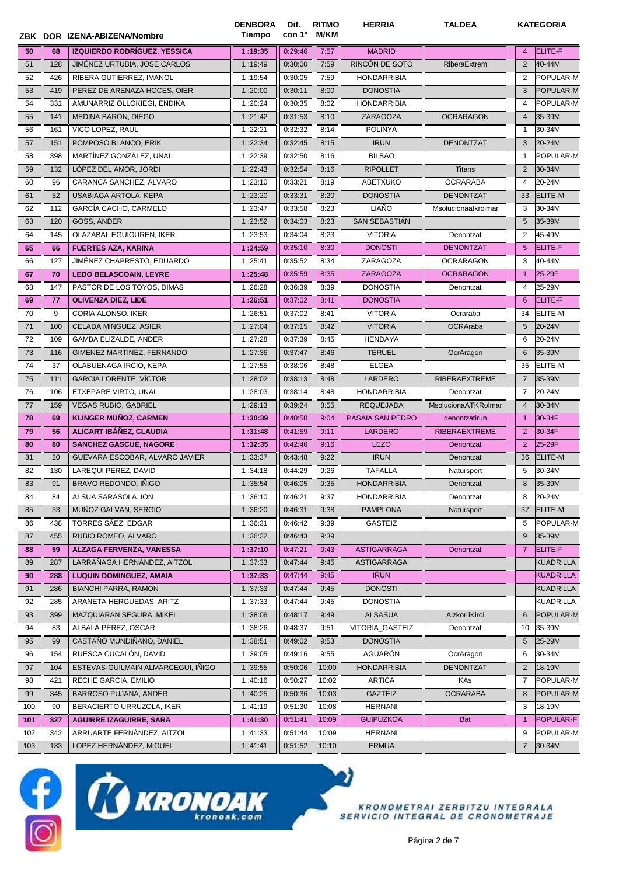|     |     | ZBK DOR IZENA-ABIZENA/Nombre       | <b>DENBORA</b><br>Tiempo | Dif.<br>con 1º | <b>RITMO</b><br>M/KM | <b>HERRIA</b>      | <b>TALDEA</b>        |                | <b>KATEGORIA</b> |
|-----|-----|------------------------------------|--------------------------|----------------|----------------------|--------------------|----------------------|----------------|------------------|
| 50  | 68  | IZQUIERDO RODRÍGUEZ, YESSICA       | 1:19:35                  | 0:29:46        | 7:57                 | <b>MADRID</b>      |                      | $\overline{4}$ | ELITE-F          |
| 51  | 128 | JIMÉNEZ URTUBIA, JOSE CARLOS       | 1:19:49                  | 0:30:00        | 7:59                 | RINCÓN DE SOTO     | RiberaExtrem         | $\overline{2}$ | 40-44M           |
| 52  | 426 | RIBERA GUTIERREZ, IMANOL           | 1:19:54                  | 0:30:05        | 7:59                 | <b>HONDARRIBIA</b> |                      | 2              | POPULAR-M        |
| 53  | 419 | PEREZ DE ARENAZA HOCES, OIER       | 1:20:00                  | 0:30:11        | 8:00                 | <b>DONOSTIA</b>    |                      | 3              | POPULAR-M        |
| 54  | 331 | AMUNARRIZ OLLOKIEGI, ENDIKA        | 1:20:24                  | 0:30:35        | 8:02                 | <b>HONDARRIBIA</b> |                      | 4              | POPULAR-M        |
| 55  | 141 | <b>MEDINA BARON, DIEGO</b>         | 1:21:42                  | 0:31:53        | 8:10                 | ZARAGOZA           | <b>OCRARAGON</b>     | $\overline{4}$ | 35-39M           |
| 56  | 161 | VICO LOPEZ. RAUL                   | 1:22:21                  | 0:32:32        | 8:14                 | <b>POLINYA</b>     |                      | $\overline{1}$ | 30-34M           |
| 57  | 151 | POMPOSO BLANCO, ERIK               | 1:22:34                  | 0:32:45        | 8:15                 | <b>IRUN</b>        | <b>DENONTZAT</b>     | 3              | 20-24M           |
| 58  | 398 | MARTÍNEZ GONZÁLEZ, UNAI            | 1:22:39                  | 0:32:50        | 8:16                 | <b>BILBAO</b>      |                      | $\mathbf{1}$   | POPULAR-M        |
| 59  | 132 | LÓPEZ DEL AMOR, JORDI              | 1:22:43                  | 0:32:54        | 8:16                 | <b>RIPOLLET</b>    | <b>Titans</b>        | 2              | 30-34M           |
| 60  | 96  | CARANCA SANCHEZ, ALVARO            | 1:23:10                  | 0:33:21        | 8:19                 | ABETXUKO           | <b>OCRARABA</b>      | 4              | 20-24M           |
| 61  | 52  | USABIAGA ARTOLA, KEPA              | 1:23:20                  | 0:33:31        | 8:20                 | <b>DONOSTIA</b>    | <b>DENONTZAT</b>     | 33             | ELITE-M          |
| 62  | 112 | GARCÍA CACHO, CARMELO              | 1:23:47                  | 0:33:58        | 8:23                 | <b>LIAÑO</b>       | Msolucionaatkrolmar  | 3              | 30-34M           |
| 63  | 120 | GOSS, ANDER                        | 1:23:52                  | 0:34:03        | 8:23                 | SAN SEBASTIÁN      |                      | 5              | 35-39M           |
| 64  | 145 | OLAZABAL EGUIGUREN, IKER           | 1:23:53                  | 0:34:04        | 8:23                 | <b>VITORIA</b>     | Denontzat            | 2              | 45-49M           |
| 65  | 66  | <b>FUERTES AZA, KARINA</b>         | 1:24:59                  | 0:35:10        | 8:30                 | <b>DONOSTI</b>     | <b>DENONTZAT</b>     | 5              | ELITE-F          |
| 66  | 127 | JIMÉNEZ CHAPRESTO, EDUARDO         | 1:25:41                  | 0:35:52        | 8:34                 | ZARAGOZA           | <b>OCRARAGON</b>     | 3              | 40-44M           |
| 67  | 70  | <b>LEDO BELASCOAIN, LEYRE</b>      | 1:25:48                  | 0:35:59        | 8:35                 | <b>ZARAGOZA</b>    | <b>OCRARAGON</b>     | $\overline{1}$ | 25-29F           |
| 68  | 147 | PASTOR DE LOS TOYOS, DIMAS         | 1:26:28                  | 0:36:39        | 8:39                 | <b>DONOSTIA</b>    | Denontzat            | 4              | 25-29M           |
| 69  | 77  | <b>OLIVENZA DIEZ, LIDE</b>         | 1:26:51                  | 0:37:02        | 8:41                 | <b>DONOSTIA</b>    |                      | 6              | ELITE-F          |
| 70  | 9   | CORIA ALONSO, IKER                 | 1:26:51                  | 0:37:02        | 8:41                 | <b>VITORIA</b>     | Ocraraba             | 34             | ELITE-M          |
| 71  | 100 | CELADA MINGUEZ, ASIER              | 1:27:04                  | 0:37:15        | 8:42                 | <b>VITORIA</b>     | OCRAraba             | 5              | 20-24M           |
| 72  | 109 | GAMBA ELIZALDE, ANDER              | 1:27:28                  | 0:37:39        | 8:45                 | <b>HENDAYA</b>     |                      | 6              | 20-24M           |
| 73  | 116 | GIMENEZ MARTINEZ, FERNANDO         | 1:27:36                  | 0:37:47        | 8:46                 | <b>TERUEL</b>      | OcrAragon            | 6              | 35-39M           |
| 74  | 37  | OLABUENAGA IRCIO, KEPA             | 1:27:55                  | 0:38:06        | 8:48                 | <b>ELGEA</b>       |                      | 35             | ELITE-M          |
| 75  | 111 | <b>GARCIA LORENTE, VÍCTOR</b>      | 1:28:02                  | 0:38:13        | 8:48                 | LARDERO            | <b>RIBERAEXTREME</b> | $\overline{7}$ | 35-39M           |
| 76  | 106 | ETXEPARE VIRTO, UNAI               | 1:28:03                  | 0:38:14        | 8:48                 | <b>HONDARRIBIA</b> | Denontzat            | $\overline{7}$ | 20-24M           |
| 77  | 159 | <b>VEGAS RUBIO, GABRIEL</b>        | 1:29:13                  | 0:39:24        | 8:55                 | <b>REQUEJADA</b>   | MsolucionaATKRolmar  | $\overline{4}$ | 30-34M           |
| 78  | 69  | <b>KLINGER MUÑOZ, CARMEN</b>       | 1:30:39                  | 0:40:50        | 9:04                 | PASAIA SAN PEDRO   | denontzatirun        | $\overline{1}$ | 30-34F           |
| 79  | 56  | ALICART IBÁÑEZ, CLAUDIA            | 1:31:48                  | 0:41:59        | 9:11                 | <b>LARDERO</b>     | <b>RIBERAEXTREME</b> | $\overline{2}$ | 30-34F           |
| 80  | 80  | <b>SANCHEZ GASCUE, NAGORE</b>      | 1:32:35                  | 0:42:46        | 9:16                 | <b>LEZO</b>        | Denontzat            | $\overline{2}$ | 25-29F           |
| 81  | 20  | GUEVARA ESCOBAR, ALVARO JAVIER     | 1:33:37                  | 0:43:48        | 9:22                 | <b>IRUN</b>        | Denontzat            | 36             | ELITE-M          |
| 82  | 130 | LAREQUI PÉREZ, DAVID               | 1:34:18                  | 0:44:29        | 9:26                 | <b>TAFALLA</b>     | Natursport           | 5              | 30-34M           |
| 83  | 91  | BRAVO REDONDO. IÑIGO               | 1:35:54                  | 0:46:05        | 9:35                 | <b>HONDARRIBIA</b> | Denontzat            | 8              | 35-39M           |
| 84  | 84  | ALSUA SARASOLA, ION                | 1:36:10                  | 0:46:21        | 9:37                 | <b>HONDARRIBIA</b> | Denontzat            | 8              | 20-24M           |
| 85  | 33  | MUÑOZ GALVAN, SERGIO               | 1:36:20                  | 0:46:31        | 9:38                 | <b>PAMPLONA</b>    | Natursport           | 37             | ELITE-M          |
| 86  | 438 | TORRES SÁEZ, EDGAR                 | 1:36:31                  | 0:46:42        | 9:39                 | GASTEIZ            |                      | 5              | POPULAR-M        |
| 87  | 455 | RUBIO ROMEO, ALVARO                | 1:36:32                  | 0:46:43        | 9:39                 |                    |                      | 9              | 35-39M           |
| 88  | 59  | ALZAGA FERVENZA, VANESSA           | 1:37:10                  | 0:47:21        | 9:43                 | <b>ASTIGARRAGA</b> | Denontzat            | $\overline{7}$ | ELITE-F          |
| 89  | 287 | LARRAÑAGA HERNÁNDEZ, AITZOL        | 1:37:33                  | 0:47:44        | 9:45                 | <b>ASTIGARRAGA</b> |                      |                | <b>KUADRILLA</b> |
| 90  | 288 | <b>LUQUIN DOMINGUEZ, AMAIA</b>     | 1:37:33                  | 0:47:44        | 9:45                 | <b>IRUN</b>        |                      |                | <b>KUADRILLA</b> |
| 91  | 286 | <b>BIANCHI PARRA, RAMON</b>        | 1:37:33                  | 0:47:44        | 9:45                 | <b>DONOSTI</b>     |                      |                | KUADRILLA        |
| 92  | 285 | ARANETA HERGUEDAS, ARITZ           | 1:37:33                  | 0:47:44        | 9:45                 | <b>DONOSTIA</b>    |                      |                | KUADRILLA        |
| 93  | 399 | MAZQUIARAN SEGURA, MIKEL           | 1:38:06                  | 0:48:17        | 9:49                 | <b>ALSASUA</b>     | AizkorriKirol        | 6              | POPULAR-M        |
| 94  | 83  | ALBALÁ PÉREZ, OSCAR                | 1:38:26                  | 0:48:37        | 9:51                 | VITORIA_GASTEIZ    | Denontzat            | 10             | 35-39M           |
| 95  | 99  | CASTAÑO MUNDIÑANO, DANIEL          | 1:38:51                  | 0:49:02        | 9:53                 | <b>DONOSTIA</b>    |                      | 5              | 25-29M           |
| 96  | 154 | RUESCA CUCALÓN, DAVID              | 1:39:05                  | 0:49:16        | 9:55                 | AGUARÓN            | OcrAragon            | 6              | 30-34M           |
| 97  | 104 | ESTEVAS-GUILMAIN ALMARCEGUI, IÑIGO | 1:39:55                  | 0:50:06        | 10:00                | <b>HONDARRIBIA</b> | <b>DENONTZAT</b>     | $\overline{2}$ | 18-19M           |
| 98  | 421 | RECHE GARCIA, EMILIO               | 1:40:16                  | 0:50:27        | 10:02                | <b>ARTICA</b>      | KAs                  | 7              | POPULAR-M        |
| 99  | 345 | BARROSO PUJANA, ANDER              | 1:40:25                  | 0:50:36        | 10:03                | <b>GAZTEIZ</b>     | <b>OCRARABA</b>      | 8              | POPULAR-M        |
| 100 | 90  | BERACIERTO URRUZOLA, IKER          | 1:41:19                  | 0:51:30        | 10:08                | <b>HERNANI</b>     |                      | 3              | 18-19M           |
| 101 | 327 | <b>AGUIRRE IZAGUIRRE, SARA</b>     | 1:41:30                  | 0:51:41        | 10:09                | <b>GUIPUZKOA</b>   | Bat                  | $\mathbf{1}$   | POPULAR-F        |
| 102 | 342 | ARRUARTE FERNÁNDEZ, AITZOL         | 1:41:33                  | 0:51:44        | 10:09                | <b>HERNANI</b>     |                      | 9              | POPULAR-M        |
| 103 | 133 | LÓPEZ HERNÁNDEZ, MIGUEL            | 1:41:41                  | 0:51:52        | 10:10                | ERMUA              |                      | $\overline{7}$ | 30-34M           |
|     |     |                                    |                          |                |                      |                    |                      |                |                  |



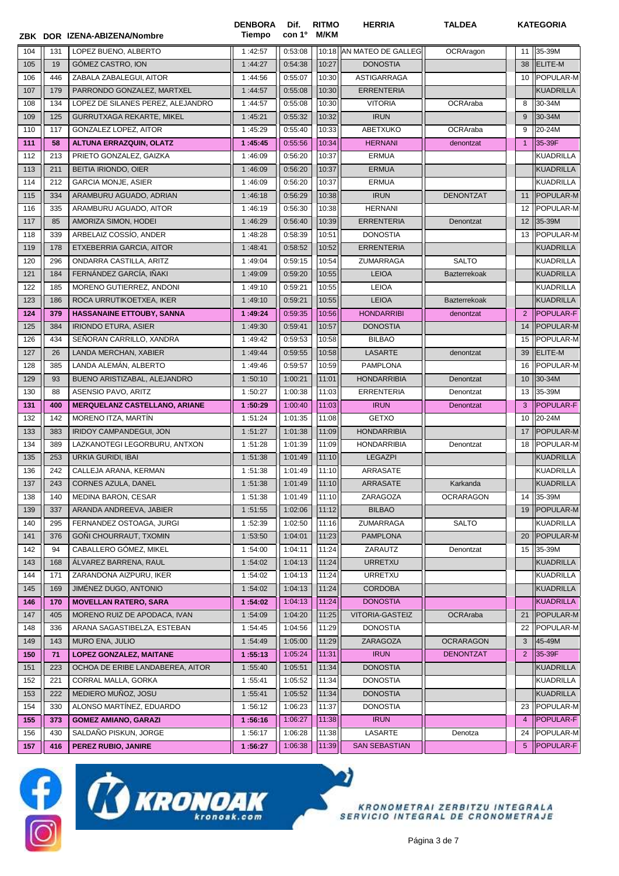|       |     | ZBK DOR IZENA-ABIZENA/Nombre         | <b>DENBORA</b><br>Tiempo | Dif.<br>con 1 <sup>o</sup> | <b>RITMO</b><br>M/KM | <b>HERRIA</b>        | <b>TALDEA</b>       |                 | <b>KATEGORIA</b> |
|-------|-----|--------------------------------------|--------------------------|----------------------------|----------------------|----------------------|---------------------|-----------------|------------------|
| 104   | 131 | LOPEZ BUENO, ALBERTO                 | 1:42:57                  | 0:53:08                    | 10:18                | AN MATEO DE GALLEG   | OCRAragon           | 11              | 35-39M           |
| 105   | 19  | GÓMEZ CASTRO, ION                    | 1:44:27                  | 0:54:38                    | 10:27                | <b>DONOSTIA</b>      |                     | 38              | <b>ELITE-M</b>   |
| 106   | 446 | ZABALA ZABALEGUI, AITOR              | 1:44:56                  | 0:55:07                    | 10:30                | ASTIGARRAGA          |                     | 10              | POPULAR-M        |
| 107   | 179 | PARRONDO GONZALEZ, MARTXEL           | 1:44:57                  | 0:55:08                    | 10:30                | <b>ERRENTERIA</b>    |                     |                 | <b>KUADRILLA</b> |
| 108   | 134 | LOPEZ DE SILANES PEREZ, ALEJANDRO    | 1:44:57                  | 0:55:08                    | 10:30                | <b>VITORIA</b>       | OCRAraba            | 8               | 30-34M           |
| 109   | 125 | <b>GURRUTXAGA REKARTE, MIKEL</b>     | 1:45:21                  | 0:55:32                    | 10:32                | <b>IRUN</b>          |                     | 9               | 30-34M           |
| 110   | 117 | GONZALEZ LOPEZ, AITOR                | 1:45:29                  | 0:55:40                    | 10:33                | ABETXUKO             | OCRAraba            | 9               | 20-24M           |
| 111   | 58  | <b>ALTUNA ERRAZQUIN, OLATZ</b>       | 1:45:45                  | 0:55:56                    | 10:34                | <b>HERNANI</b>       | denontzat           | $\overline{1}$  | 35-39F           |
| 112   | 213 | PRIETO GONZALEZ, GAIZKA              | 1:46:09                  | 0:56:20                    | 10:37                | <b>ERMUA</b>         |                     |                 | <b>KUADRILLA</b> |
| 113   | 211 | BEITIA IRIONDO, OIER                 | 1:46:09                  | 0:56:20                    | 10:37                | <b>ERMUA</b>         |                     |                 | <b>KUADRILLA</b> |
| 114   | 212 | <b>GARCIA MONJE, ASIER</b>           | 1:46:09                  | 0:56:20                    | 10:37                | <b>ERMUA</b>         |                     |                 | <b>KUADRILLA</b> |
| 115   | 334 | ARAMBURU AGUADO, ADRIAN              | 1:46:18                  | 0:56:29                    | 10:38                | <b>IRUN</b>          | <b>DENONTZAT</b>    | 11              | POPULAR-M        |
| 116   | 335 | ARAMBURU AGUADO, AITOR               | 1:46:19                  | 0:56:30                    | 10:38                | <b>HERNANI</b>       |                     | 12              | POPULAR-M        |
| 117   | 85  | AMORIZA SIMON, HODEI                 | 1:46:29                  | 0:56:40                    | 10:39                | <b>ERRENTERIA</b>    | Denontzat           | 12              | 35-39M           |
| 118   | 339 | ARBELAIZ COSSIO, ANDER               | 1:48:28                  | 0:58:39                    | 10:51                | <b>DONOSTIA</b>      |                     | 13              | POPULAR-M        |
| 119   | 178 | ETXEBERRIA GARCIA, AITOR             | 1:48:41                  | 0:58:52                    | 10:52                | <b>ERRENTERIA</b>    |                     |                 | <b>KUADRILLA</b> |
| 120   | 296 | ONDARRA CASTILLA, ARITZ              | 1:49:04                  | 0:59:15                    | 10:54                | ZUMARRAGA            | <b>SALTO</b>        |                 | KUADRILLA        |
| 121   | 184 | FERNÁNDEZ GARCÍA, IÑAKI              | 1:49:09                  | 0:59:20                    | 10:55                | <b>LEIOA</b>         | <b>Bazterrekoak</b> |                 | <b>KUADRILLA</b> |
| 122   | 185 | MORENO GUTIERREZ, ANDONI             | 1:49:10                  | 0:59:21                    | 10:55                | <b>LEIOA</b>         |                     |                 | <b>KUADRILLA</b> |
| 123   | 186 | ROCA URRUTIKOETXEA, IKER             | 1:49:10                  | 0:59:21                    | 10:55                | <b>LEIOA</b>         | <b>Bazterrekoak</b> |                 | <b>KUADRILLA</b> |
| 124   | 379 | <b>HASSANAINE ETTOUBY, SANNA</b>     | 1:49:24                  | 0:59:35                    | 10:56                | <b>HONDARRIBI</b>    | denontzat           | $\overline{2}$  | POPULAR-F        |
| 125   | 384 | <b>IRIONDO ETURA, ASIER</b>          | 1:49:30                  | 0:59:41                    | 10:57                | <b>DONOSTIA</b>      |                     | 14              | POPULAR-M        |
| 126   | 434 | SEÑORAN CARRILLO, XANDRA             | 1:49:42                  | 0:59:53                    | 10:58                | <b>BILBAO</b>        |                     | 15              | POPULAR-M        |
| 127   | 26  | LANDA MERCHAN, XABIER                | 1:49:44                  | 0:59:55                    | 10:58                | <b>LASARTE</b>       | denontzat           | 39              | ELITE-M          |
| 128   | 385 | LANDA ALEMÁN, ALBERTO                | 1:49:46                  | 0:59:57                    | 10:59                | <b>PAMPLONA</b>      |                     | 16              | POPULAR-M        |
| 129   | 93  | BUENO ARISTIZABAL, ALEJANDRO         | 1:50:10                  | 1:00:21                    | 11:01                | <b>HONDARRIBIA</b>   | Denontzat           | 10              | 30-34M           |
| 130   | 88  | ASENSIO PAVO, ARITZ                  | 1:50:27                  | 1:00:38                    | 11:03                | <b>ERRENTERIA</b>    | Denontzat           | 13              | 35-39M           |
| 131   | 400 | <b>MERQUELANZ CASTELLANO, ARIANE</b> | 1:50:29                  | 1:00:40                    | 11:03                | <b>IRUN</b>          | Denontzat           | 3               | POPULAR-F        |
| 132   | 142 | MORENO ITZA, MARTÍN                  | 1:51:24                  | 1:01:35                    | 11:08                | <b>GETXO</b>         |                     | 10              | 20-24M           |
| 133   | 383 | <b>IRIDOY CAMPANDEGUI, JON</b>       | 1:51:27                  | 1:01:38                    | 11:09                | <b>HONDARRIBIA</b>   |                     | 17              | POPULAR-M        |
| 134   | 389 | LAZKANOTEGI LEGORBURU, ANTXON        | 1:51:28                  | 1:01:39                    | 11:09                | <b>HONDARRIBIA</b>   | Denontzat           | 18              | POPULAR-M        |
| 135   | 253 | URKIA GURIDI, IBAI                   | 1:51:38                  | 1:01:49                    | 11:10                | <b>LEGAZPI</b>       |                     |                 | <b>KUADRILLA</b> |
| 136   | 242 | CALLEJA ARANA, KERMAN                | 1:51:38                  | 1:01:49                    | 11:10                | ARRASATE             |                     |                 | <b>KUADRILLA</b> |
| $137$ | 243 | CORNES AZULA, DANEL                  | 1:51:38                  | 1:01:49                    | 11:10                | ARRASATE             | Karkanda            |                 | KUADRILLA        |
| 138   | 140 | MEDINA BARON, CESAR                  | 1:51:38                  | 1:01:49                    | 11:10                | ZARAGOZA             | <b>OCRARAGON</b>    | 14              | 35-39M           |
| 139   | 337 | ARANDA ANDREEVA, JABIER              | 1:51:55                  | 1:02:06                    | 11:12                | <b>BILBAO</b>        |                     | 19              | POPULAR-M        |
| 140   | 295 | FERNANDEZ OSTOAGA, JURGI             | 1:52:39                  | 1:02:50                    | 11:16                | ZUMARRAGA            | <b>SALTO</b>        |                 | <b>KUADRILLA</b> |
| 141   | 376 | GOÑI CHOURRAUT, TXOMIN               | 1:53:50                  | 1:04:01                    | 11:23                | <b>PAMPLONA</b>      |                     | 20              | POPULAR-M        |
| 142   | 94  | CABALLERO GÓMEZ, MIKEL               | 1:54:00                  | 1:04:11                    | 11:24                | ZARAUTZ              | Denontzat           | 15              | 35-39M           |
| 143   | 168 | ÁLVAREZ BARRENA, RAUL                | 1:54:02                  | 1:04:13                    | 11:24                | <b>URRETXU</b>       |                     |                 | <b>KUADRILLA</b> |
| 144   | 171 | ZARANDONA AIZPURU, IKER              | 1:54:02                  | 1:04:13                    | 11:24                | URRETXU              |                     |                 | <b>KUADRILLA</b> |
| 145   | 169 | JIMÉNEZ DUGO, ANTONIO                | 1:54:02                  | 1:04:13                    | 11:24                | <b>CORDOBA</b>       |                     |                 | <b>KUADRILLA</b> |
| 146   | 170 | <b>MOVELLAN RATERO, SARA</b>         | 1:54:02                  | 1:04:13                    | 11:24                | <b>DONOSTIA</b>      |                     |                 | <b>KUADRILLA</b> |
| 147   | 405 | MORENO RUIZ DE APODACA, IVAN         | 1:54:09                  | 1:04:20                    | 11:25                | VITORIA-GASTEIZ      | OCRAraba            | 21              | POPULAR-M        |
| 148   | 336 | ARANA SAGASTIBELZA, ESTEBAN          | 1:54:45                  | 1:04:56                    | 11:29                | <b>DONOSTIA</b>      |                     | 22              | POPULAR-M        |
| 149   | 143 | MURO ENA, JULIO                      | 1:54:49                  | 1:05:00                    | 11:29                | ZARAGOZA             | <b>OCRARAGON</b>    | 3               | 45-49M           |
| 150   | 71  | <b>LOPEZ GONZALEZ, MAITANE</b>       | 1:55:13                  | 1:05:24                    | 11:31                | <b>IRUN</b>          | <b>DENONTZAT</b>    | $\mathbf{2}$    | 35-39F           |
| 151   | 223 | OCHOA DE ERIBE LANDABEREA, AITOR     | 1:55:40                  | 1:05:51                    | 11:34                | <b>DONOSTIA</b>      |                     |                 | <b>KUADRILLA</b> |
| 152   | 221 | CORRAL MALLA, GORKA                  | 1:55:41                  | 1:05:52                    | 11:34                | <b>DONOSTIA</b>      |                     |                 | <b>KUADRILLA</b> |
| 153   | 222 | MEDIERO MUÑOZ, JOSU                  | 1:55:41                  | 1:05:52                    | 11:34                | <b>DONOSTIA</b>      |                     |                 | <b>KUADRILLA</b> |
| 154   | 330 | ALONSO MARTÍNEZ, EDUARDO             | 1:56:12                  | 1:06:23                    | 11:37                | <b>DONOSTIA</b>      |                     | 23              | POPULAR-M        |
| 155   | 373 | <b>GOMEZ AMIANO, GARAZI</b>          | 1:56:16                  | 1:06:27                    | 11:38                | <b>IRUN</b>          |                     | $\overline{4}$  | POPULAR-F        |
| 156   | 430 | SALDAÑO PISKUN, JORGE                | 1:56:17                  | 1:06:28                    | 11:38                | LASARTE              | Denotza             | 24              | POPULAR-M        |
| 157   | 416 | PEREZ RUBIO, JANIRE                  | 1:56:27                  | 1:06:38                    | 11:39                | <b>SAN SEBASTIAN</b> |                     | $5\phantom{.0}$ | POPULAR-F        |





 $\boldsymbol{d}$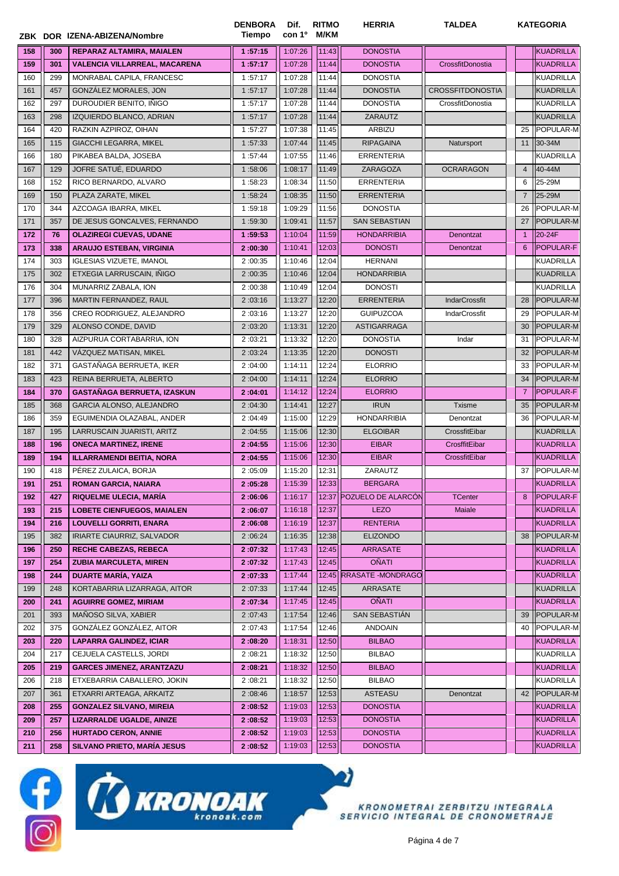|     |     | ZBK DOR IZENA-ABIZENA/Nombre       | <b>DENBORA</b><br>Tiempo | Dif.<br>con 1 <sup>o</sup> | <b>RITMO</b><br>M/KM | <b>HERRIA</b>            | <b>TALDEA</b>           |                | <b>KATEGORIA</b> |
|-----|-----|------------------------------------|--------------------------|----------------------------|----------------------|--------------------------|-------------------------|----------------|------------------|
| 158 | 300 | REPARAZ ALTAMIRA, MAIALEN          | 1:57:15                  | 1:07:26                    | 11:43                | <b>DONOSTIA</b>          |                         |                | <b>KUADRILLA</b> |
| 159 | 301 | VALENCIA VILLARREAL, MACARENA      | 1:57:17                  | 1:07:28                    | 11:44                | <b>DONOSTIA</b>          | CrossfitDonostia        |                | <b>KUADRILLA</b> |
| 160 | 299 | MONRABAL CAPILA, FRANCESC          | 1:57:17                  | 1:07:28                    | 11:44                | <b>DONOSTIA</b>          |                         |                | <b>KUADRILLA</b> |
| 161 | 457 | GONZÁLEZ MORALES, JON              | 1:57:17                  | 1:07:28                    | 11:44                | <b>DONOSTIA</b>          | <b>CROSSFITDONOSTIA</b> |                | <b>KUADRILLA</b> |
| 162 | 297 | DUROUDIER BENITO, INIGO            | 1:57:17                  | 1:07:28                    | 11:44                | <b>DONOSTIA</b>          | CrossfitDonostia        |                | <b>KUADRILLA</b> |
| 163 | 298 | IZQUIERDO BLANCO, ADRIAN           | 1:57:17                  | 1:07:28                    | 11:44                | ZARAUTZ                  |                         |                | <b>KUADRILLA</b> |
| 164 | 420 | RAZKIN AZPIROZ, OIHAN              | 1:57:27                  | 1:07:38                    | 11:45                | ARBIZU                   |                         | 25             | POPULAR-M        |
| 165 | 115 | <b>GIACCHI LEGARRA, MIKEL</b>      | 1:57:33                  | 1:07:44                    | 11:45                | <b>RIPAGAINA</b>         | Natursport              | 11             | 30-34M           |
| 166 | 180 | PIKABEA BALDA, JOSEBA              | 1:57:44                  | 1:07:55                    | 11:46                | <b>ERRENTERIA</b>        |                         |                | <b>KUADRILLA</b> |
| 167 | 129 | JOFRE SATUÉ, EDUARDO               | 1:58:06                  | 1:08:17                    | 11:49                | ZARAGOZA                 | <b>OCRARAGON</b>        | $\overline{4}$ | 40-44M           |
| 168 | 152 | RICO BERNARDO, ALVARO              | 1:58:23                  | 1:08:34                    | 11:50                | <b>ERRENTERIA</b>        |                         | 6              | 25-29M           |
| 169 | 150 | PLAZA ZARATE, MIKEL                | 1:58:24                  | 1:08:35                    | 11:50                | <b>ERRENTERIA</b>        |                         | $\overline{7}$ | 25-29M           |
| 170 | 344 | AZCOAGA IBARRA, MIKEL              | 1:59:18                  | 1:09:29                    | 11:56                | <b>DONOSTIA</b>          |                         | 26             | POPULAR-M        |
| 171 | 357 | DE JESUS GONCALVES, FERNANDO       | 1:59:30                  | 1:09:41                    | 11:57                | <b>SAN SEBASTIAN</b>     |                         | 27             | POPULAR-M        |
| 172 | 76  | <b>OLAZIREGI CUEVAS, UDANE</b>     | 1:59:53                  | 1:10:04                    | 11:59                | <b>HONDARRIBIA</b>       | Denontzat               | $\mathbf{1}$   | 20-24F           |
| 173 | 338 | <b>ARAUJO ESTEBAN, VIRGINIA</b>    | 2:00:30                  | 1:10:41                    | 12:03                | <b>DONOSTI</b>           | Denontzat               | 6              | <b>POPULAR-F</b> |
| 174 | 303 | <b>IGLESIAS VIZUETE, IMANOL</b>    | 2:00:35                  | 1:10:46                    | 12:04                | <b>HERNANI</b>           |                         |                | <b>KUADRILLA</b> |
| 175 | 302 | ETXEGIA LARRUSCAIN, INIGO          | 2:00:35                  | 1:10:46                    | 12:04                | <b>HONDARRIBIA</b>       |                         |                | <b>KUADRILLA</b> |
| 176 | 304 | MUNARRIZ ZABALA, ION               | 2:00:38                  | 1:10:49                    | 12:04                | <b>DONOSTI</b>           |                         |                | <b>KUADRILLA</b> |
| 177 | 396 | MARTIN FERNANDEZ, RAUL             | 2:03:16                  | 1:13:27                    | 12:20                | <b>ERRENTERIA</b>        | <b>IndarCrossfit</b>    | 28             | <b>POPULAR-M</b> |
| 178 | 356 | CREO RODRIGUEZ, ALEJANDRO          | 2:03:16                  | 1:13:27                    | 12:20                | <b>GUIPUZCOA</b>         | IndarCrossfit           | 29             | POPULAR-M        |
| 179 | 329 | ALONSO CONDE, DAVID                | 2:03:20                  | 1:13:31                    | 12:20                | ASTIGARRAGA              |                         | 30             | POPULAR-M        |
| 180 | 328 | AIZPURUA CORTABARRIA, ION          | 2:03:21                  | 1:13:32                    | 12:20                | <b>DONOSTIA</b>          | Indar                   | 31             | POPULAR-M        |
| 181 | 442 | VAZQUEZ MATISAN, MIKEL             | 2:03:24                  | 1:13:35                    | 12:20                | <b>DONOSTI</b>           |                         | 32             | <b>POPULAR-M</b> |
| 182 | 371 | GASTAÑAGA BERRUETA, IKER           | 2:04:00                  | 1:14:11                    | 12:24                | <b>ELORRIO</b>           |                         | 33             | POPULAR-M        |
| 183 | 423 | REINA BERRUETA, ALBERTO            | 2:04:00                  | 1:14:11                    | 12:24                | <b>ELORRIO</b>           |                         | 34             | POPULAR-M        |
| 184 | 370 | <b>GASTAÑAGA BERRUETA, IZASKUN</b> | 2:04:01                  | 1:14:12                    | 12:24                | <b>ELORRIO</b>           |                         | $\overline{7}$ | POPULAR-F        |
| 185 | 368 | GARCIA ALONSO, ALEJANDRO           | 2:04:30                  | 1:14:41                    | 12:27                | <b>IRUN</b>              | <b>Txisme</b>           | 35             | POPULAR-M        |
| 186 | 359 | EGUIMENDIA OLAZABAL, ANDER         | 2:04:49                  | 1:15:00                    | 12:29                | <b>HONDARRIBIA</b>       | Denontzat               | 36             | POPULAR-M        |
| 187 | 195 | LARRUSCAIN JUARISTI, ARITZ         | 2:04:55                  | 1:15:06                    | 12:30                | <b>ELGOIBAR</b>          | CrossfitEibar           |                | <b>KUADRILLA</b> |
|     |     |                                    |                          | 1:15:06                    | 12:30                | <b>EIBAR</b>             | CrosffitEibar           |                | <b>KUADRILLA</b> |
| 188 | 196 | <b>ONECA MARTINEZ, IRENE</b>       | 2:04:55                  |                            |                      |                          |                         |                |                  |
| 189 | 194 | <b>ILLARRAMENDI BEITIA, NORA</b>   | 2:04:55                  | 1:15:06                    | 12:30                | <b>EIBAR</b>             | CrossfitEibar           |                | <b>KUADRILLA</b> |
| 190 | 418 | PÉREZ ZULAICA, BORJA               | 2:05:09                  | 1:15:20                    | 12:31                | ZARAUTZ                  |                         | 37             | POPULAR-M        |
| 191 | 251 | <b>ROMAN GARCIA, NAIARA</b>        | 2:05:28                  | 1:15:39                    | 12:33                | <b>BERGARA</b>           |                         |                | KUADRILLA        |
| 192 | 427 | RIQUELME ULECIA, MARÍA             | 2:06:06                  | 1:16:17                    | 12:37                | POZUELO DE ALARCÓN       | <b>TCenter</b>          | 8              | <b>POPULAR-F</b> |
| 193 | 215 | <b>LOBETE CIENFUEGOS, MAIALEN</b>  | 2:06:07                  | 1:16:18                    | 12:37                | <b>LEZO</b>              | Maiale                  |                | <b>KUADRILLA</b> |
| 194 | 216 | <b>LOUVELLI GORRITI, ENARA</b>     | 2:06:08                  | 1:16:19                    | 12:37                | <b>RENTERIA</b>          |                         |                | <b>KUADRILLA</b> |
| 195 | 382 | IRIARTE CIAURRIZ, SALVADOR         | 2:06:24                  | 1:16:35                    | 12:38                | <b>ELIZONDO</b>          |                         | 38             | POPULAR-M        |
| 196 | 250 | <b>RECHE CABEZAS, REBECA</b>       | 2:07:32                  | 1:17:43                    | 12:45                | ARRASATE                 |                         |                | KUADRILLA        |
| 197 | 254 | <b>ZUBIA MARCULETA, MIREN</b>      | 2:07:32                  | 1:17:43                    | 12:45                | <b>OÑATI</b>             |                         |                | <b>KUADRILLA</b> |
| 198 | 244 | <b>DUARTE MARIA, YAIZA</b>         | 2:07:33                  | 1:17:44                    | 12:45                | <b>RRASATE -MONDRAGO</b> |                         |                | <b>KUADRILLA</b> |
| 199 | 248 | KORTABARRIA LIZARRAGA, AITOR       | 2:07:33                  | 1:17:44                    | 12:45                | ARRASATE                 |                         |                | <b>KUADRILLA</b> |
| 200 | 241 | <b>AGUIRRE GOMEZ, MIRIAM</b>       | 2:07:34                  | 1:17:45                    | 12:45                | <b>OÑATI</b>             |                         |                | <b>KUADRILLA</b> |
| 201 | 393 | MANOSO SILVA, XABIER               | 2:07:43                  | 1:17:54                    | 12:46                | SAN SEBASTIÁN            |                         | 39             | POPULAR-M        |
| 202 | 375 | GONZÁLEZ GONZÁLEZ, AITOR           | 2:07:43                  | 1:17:54                    | 12:46                | ANDOAIN                  |                         | 40             | POPULAR-M        |
| 203 | 220 | <b>LAPARRA GALINDEZ, ICIAR</b>     | 2:08:20                  | 1:18:31                    | 12:50                | <b>BILBAO</b>            |                         |                | <b>KUADRILLA</b> |
| 204 | 217 | CEJUELA CASTELLS, JORDI            | 2:08:21                  | 1:18:32                    | 12:50                | <b>BILBAO</b>            |                         |                | <b>KUADRILLA</b> |
| 205 | 219 | <b>GARCES JIMENEZ, ARANTZAZU</b>   | 2:08:21                  | 1:18:32                    | 12:50                | <b>BILBAO</b>            |                         |                | KUADRILLA        |
| 206 | 218 | ETXEBARRIA CABALLERO, JOKIN        | 2:08:21                  | 1:18:32                    | 12:50                | <b>BILBAO</b>            |                         |                | <b>KUADRILLA</b> |
| 207 | 361 | ETXARRI ARTEAGA, ARKAITZ           | 2:08:46                  | 1:18:57                    | 12:53                | ASTEASU                  | Denontzat               | 42             | POPULAR-M        |
| 208 | 255 | <b>GONZALEZ SILVANO, MIREIA</b>    | 2:08:52                  | 1:19:03                    | 12:53                | <b>DONOSTIA</b>          |                         |                | <b>KUADRILLA</b> |
| 209 | 257 | <b>LIZARRALDE UGALDE, AINIZE</b>   | 2:08:52                  | 1:19:03                    | 12:53                | <b>DONOSTIA</b>          |                         |                | <b>KUADRILLA</b> |
| 210 | 256 | <b>HURTADO CERON, ANNIE</b>        | 2:08:52                  | 1:19:03                    | 12:53                | <b>DONOSTIA</b>          |                         |                | KUADRILLA        |
| 211 | 258 | <b>SILVANO PRIETO, MARIA JESUS</b> | 2:08:52                  | 1:19:03                    | 12:53                | <b>DONOSTIA</b>          |                         |                | KUADRILLA        |



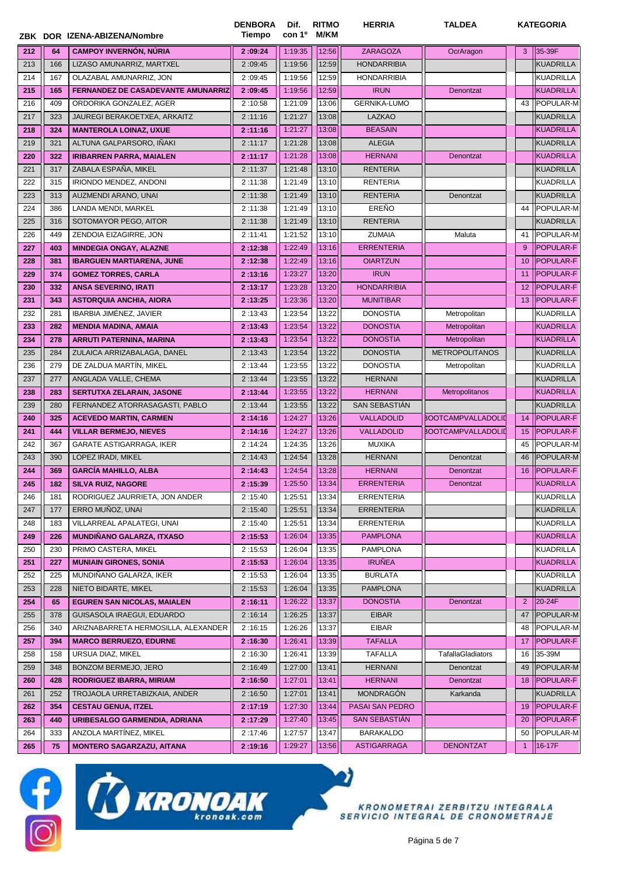|     |     |                                           | <b>DENBORA</b><br>Tiempo | Dif.<br>con 1º | <b>RITMO</b><br>M/KM | <b>HERRIA</b>        | <b>TALDEA</b>             |                   | <b>KATEGORIA</b> |
|-----|-----|-------------------------------------------|--------------------------|----------------|----------------------|----------------------|---------------------------|-------------------|------------------|
|     |     | ZBK DOR IZENA-ABIZENA/Nombre              |                          |                |                      |                      |                           |                   |                  |
| 212 | 64  | <b>CAMPOY INVERNÓN, NÚRIA</b>             | 2:09:24                  | 1:19:35        | 12:56                | ZARAGOZA             | OcrAragon                 | 3                 | 35-39F           |
| 213 | 166 | LIZASO AMUNARRIZ, MARTXEL                 | 2:09:45                  | 1:19:56        | 12:59                | <b>HONDARRIBIA</b>   |                           |                   | <b>KUADRILLA</b> |
| 214 | 167 | OLAZABAL AMUNARRIZ, JON                   | 2:09:45                  | 1:19:56        | 12:59                | <b>HONDARRIBIA</b>   |                           |                   | <b>KUADRILLA</b> |
| 215 | 165 | <b>FERNANDEZ DE CASADEVANTE AMUNARRIZ</b> | 2:09:45                  | 1:19:56        | 12:59                | <b>IRUN</b>          | Denontzat                 |                   | <b>KUADRILLA</b> |
| 216 | 409 | ORDORIKA GONZALEZ, AGER                   | 2:10:58                  | 1:21:09        | 13:06                | <b>GERNIKA-LUMO</b>  |                           | 43                | POPULAR-M        |
| 217 | 323 | JAUREGI BERAKOETXEA, ARKAITZ              | 2:11:16                  | 1:21:27        | 13:08                | LAZKAO               |                           |                   | <b>KUADRILLA</b> |
| 218 | 324 | <b>MANTEROLA LOINAZ, UXUE</b>             | 2:11:16                  | 1:21:27        | 13:08                | <b>BEASAIN</b>       |                           |                   | <b>KUADRILLA</b> |
| 219 | 321 | ALTUNA GALPARSORO, IÑAKI                  | 2:11:17                  | 1:21:28        | 13:08                | <b>ALEGIA</b>        |                           |                   | <b>KUADRILLA</b> |
| 220 | 322 | <b>IRIBARREN PARRA, MAIALEN</b>           | 2:11:17                  | 1:21:28        | 13:08                | <b>HERNANI</b>       | Denontzat                 |                   | <b>KUADRILLA</b> |
| 221 | 317 | ZABALA ESPAÑA, MIKEL                      | 2:11:37                  | 1:21:48        | 13:10                | <b>RENTERIA</b>      |                           |                   | <b>KUADRILLA</b> |
| 222 | 315 | IRIONDO MENDEZ, ANDONI                    | 2:11:38                  | 1:21:49        | 13:10                | <b>RENTERIA</b>      |                           |                   | <b>KUADRILLA</b> |
| 223 | 313 | AUZMENDI ARANO, UNAI                      | 2:11:38                  | 1:21:49        | 13:10                | <b>RENTERIA</b>      | Denontzat                 |                   | <b>KUADRILLA</b> |
| 224 | 386 | LANDA MENDI, MARKEL                       | 2:11:38                  | 1:21:49        | 13:10                | EREÑO                |                           | 44                | POPULAR-M        |
| 225 | 316 | SOTOMAYOR PEGO, AITOR                     | 2:11:38                  | 1:21:49        | 13:10                | <b>RENTERIA</b>      |                           |                   | <b>KUADRILLA</b> |
| 226 | 449 | ZENDOIA EIZAGIRRE, JON                    | 2:11:41                  | 1:21:52        | 13:10                | <b>ZUMAIA</b>        | Maluta                    | 41                | <b>POPULAR-M</b> |
| 227 | 403 | <b>MINDEGIA ONGAY, ALAZNE</b>             | 2:12:38                  | 1:22:49        | 13:16                | <b>ERRENTERIA</b>    |                           | 9                 | POPULAR-F        |
| 228 | 381 | <b>IBARGUEN MARTIARENA, JUNE</b>          | 2:12:38                  | 1:22:49        | 13:16                | <b>OIARTZUN</b>      |                           | 10                | POPULAR-F        |
| 229 | 374 | <b>GOMEZ TORRES, CARLA</b>                | 2:13:16                  | 1:23:27        | 13:20                | <b>IRUN</b>          |                           | 11                | <b>POPULAR-F</b> |
| 230 | 332 | <b>ANSA SEVERINO, IRATI</b>               | 2:13:17                  | 1:23:28        | 13:20                | <b>HONDARRIBIA</b>   |                           | $12 \overline{ }$ | <b>POPULAR-F</b> |
| 231 | 343 | <b>ASTORQUIA ANCHIA, AIORA</b>            | 2:13:25                  | 1:23:36        | 13:20                | <b>MUNITIBAR</b>     |                           | 13                | <b>POPULAR-F</b> |
| 232 | 281 | <b>IBARBIA JIMÉNEZ, JAVIER</b>            | 2:13:43                  | 1:23:54        | 13:22                | <b>DONOSTIA</b>      | Metropolitan              |                   | <b>KUADRILLA</b> |
| 233 | 282 | <b>MENDIA MADINA, AMAIA</b>               | 2:13:43                  | 1:23:54        | 13:22                | <b>DONOSTIA</b>      | Metropolitan              |                   | <b>KUADRILLA</b> |
| 234 | 278 | <b>ARRUTI PATERNINA, MARINA</b>           | 2:13:43                  | 1:23:54        | 13:22                | <b>DONOSTIA</b>      | Metropolitan              |                   | <b>KUADRILLA</b> |
| 235 | 284 | ZULAICA ARRIZABALAGA, DANEL               | 2:13:43                  | 1:23:54        | 13:22                | <b>DONOSTIA</b>      | <b>METROPOLITANOS</b>     |                   | <b>KUADRILLA</b> |
| 236 | 279 | DE ZALDUA MARTÍN, MIKEL                   | 2:13:44                  | 1:23:55        | 13:22                | <b>DONOSTIA</b>      | Metropolitan              |                   | KUADRILLA        |
| 237 | 277 | ANGLADA VALLE, CHEMA                      | 2:13:44                  | 1:23:55        | 13:22                | <b>HERNANI</b>       |                           |                   | <b>KUADRILLA</b> |
| 238 | 283 | <b>SERTUTXA ZELARAIN, JASONE</b>          | 2:13:44                  | 1:23:55        | 13:22                | <b>HERNANI</b>       | Metropolitanos            |                   | <b>KUADRILLA</b> |
| 239 | 280 | FERNANDEZ ATORRASAGASTI, PABLO            | 2:13:44                  | 1:23:55        | 13:22                | <b>SAN SEBASTIAN</b> |                           |                   | <b>KUADRILLA</b> |
| 240 | 325 | <b>ACEVEDO MARTIN, CARMEN</b>             | 2:14:16                  | 1:24:27        | 13:26                | <b>VALLADOLID</b>    | <b>BOOTCAMPVALLADOLID</b> | 14                | <b>POPULAR-F</b> |
| 241 | 444 | <b>VILLAR BERMEJO, NIEVES</b>             | 2:14:16                  | 1:24:27        | 13:26                | <b>VALLADOLID</b>    | BOOTCAMPVALLADOLID        | 15                | <b>POPULAR-F</b> |
| 242 | 367 | <b>GARATE ASTIGARRAGA, IKER</b>           | 2:14:24                  | 1:24:35        | 13:26                | <b>MUXIKA</b>        |                           | 45                | POPULAR-M        |
| 243 | 390 | LOPEZ IRADI, MIKEL                        | 2:14:43                  | 1:24:54        | 13:28                | <b>HERNANI</b>       | Denontzat                 | 46                | <b>POPULAR-M</b> |
| 244 | 369 | <b>GARCIA MAHILLO, ALBA</b>               | 2:14:43                  | 1:24:54        | 13:28                | <b>HERNANI</b>       | Denontzat                 | 16                | POPULAR-F        |
| 245 | 182 | <b>SILVA RUIZ, NAGORE</b>                 | 2:15:39                  | 1:25:50        | 13:34                | <b>ERRENTERIA</b>    | Denontzat                 |                   | KUADRILLA        |
| 246 | 181 | RODRIGUEZ JAURRIETA, JON ANDER            | 2:15:40                  | 1:25:51        | 13:34                | <b>ERRENTERIA</b>    |                           |                   | <b>KUADRILLA</b> |
| 247 | 177 | ERRO MUÑOZ, UNAI                          | 2:15:40                  | 1:25:51        | 13:34                | ERRENTERIA           |                           |                   | <b>KUADRILLA</b> |
| 248 | 183 | VILLARREAL APALATEGI, UNAI                | 2:15:40                  | 1:25:51        | 13:34                | <b>ERRENTERIA</b>    |                           |                   | <b>KUADRILLA</b> |
| 249 | 226 | <b>MUNDIÑANO GALARZA, ITXASO</b>          | 2:15:53                  | 1:26:04        | 13:35                | <b>PAMPLONA</b>      |                           |                   | KUADRILLA        |
| 250 | 230 | PRIMO CASTERA, MIKEL                      | 2:15:53                  | 1:26:04        | 13:35                | <b>PAMPLONA</b>      |                           |                   | <b>KUADRILLA</b> |
| 251 | 227 | <b>MUNIAIN GIRONES, SONIA</b>             | 2:15:53                  | 1:26:04        | 13:35                | <b>IRUÑEA</b>        |                           |                   | <b>KUADRILLA</b> |
| 252 | 225 | MUNDIÑANO GALARZA, IKER                   | 2:15:53                  | 1:26:04        | 13:35                | <b>BURLATA</b>       |                           |                   | <b>KUADRILLA</b> |
| 253 | 228 | NIETO BIDARTE, MIKEL                      | 2:15:53                  | 1:26:04        | 13:35                | <b>PAMPLONA</b>      |                           |                   | <b>KUADRILLA</b> |
| 254 | 65  | <b>EGUREN SAN NICOLAS, MAIALEN</b>        | 2:16:11                  | 1:26:22        | 13:37                | <b>DONOSTIA</b>      | Denontzat                 | $\overline{2}$    | 20-24F           |
| 255 | 378 | GUISASOLA IRAEGUI, EDUARDO                | 2:16:14                  | 1:26:25        | 13:37                | <b>EIBAR</b>         |                           | 47                | POPULAR-M        |
| 256 | 340 | ARIZNABARRETA HERMOSILLA, ALEXANDER       | 2:16:15                  | 1:26:26        | 13:37                | <b>EIBAR</b>         |                           | 48                | POPULAR-M        |
| 257 | 394 | <b>MARCO BERRUEZO, EDURNE</b>             | 2:16:30                  | 1:26:41        | 13:39                | <b>TAFALLA</b>       |                           | 17                | POPULAR-F        |
| 258 | 158 | URSUA DIAZ, MIKEL                         | 2:16:30                  | 1:26:41        | 13:39                | <b>TAFALLA</b>       | TafallaGladiators         | 16                | 35-39M           |
| 259 | 348 | BONZOM BERMEJO, JERO                      | 2:16:49                  | 1:27:00        | 13:41                | <b>HERNANI</b>       | Denontzat                 | 49                | POPULAR-M        |
| 260 | 428 | <b>RODRIGUEZ IBARRA, MIRIAM</b>           | 2:16:50                  | 1:27:01        | 13:41                | <b>HERNANI</b>       | Denontzat                 | 18                | <b>POPULAR-F</b> |
| 261 | 252 | TROJAOLA URRETABIZKAIA, ANDER             | 2:16:50                  | 1:27:01        | 13:41                | <b>MONDRAGÓN</b>     | Karkanda                  |                   | <b>KUADRILLA</b> |
| 262 | 354 | <b>CESTAU GENUA, ITZEL</b>                | 2:17:19                  | 1:27:30        | 13:44                | PASAI SAN PEDRO      |                           | 19                | <b>POPULAR-F</b> |
| 263 | 440 | URIBESALGO GARMENDIA, ADRIANA             | 2:17:29                  | 1:27:40        | 13:45                | SAN SEBASTIÁN        |                           | 20                | <b>POPULAR-F</b> |
| 264 | 333 | ANZOLA MARTÍNEZ, MIKEL                    | 2:17:46                  | 1:27:57        | 13:47                | <b>BARAKALDO</b>     |                           | 50                | POPULAR-M        |
| 265 | 75  | <b>MONTERO SAGARZAZU, AITANA</b>          | 2:19:16                  | 1:29:27        | 13:56                | <b>ASTIGARRAGA</b>   | <b>DENONTZAT</b>          | $\mathbf{1}$      | 16-17F           |
|     |     |                                           |                          |                |                      |                      |                           |                   |                  |



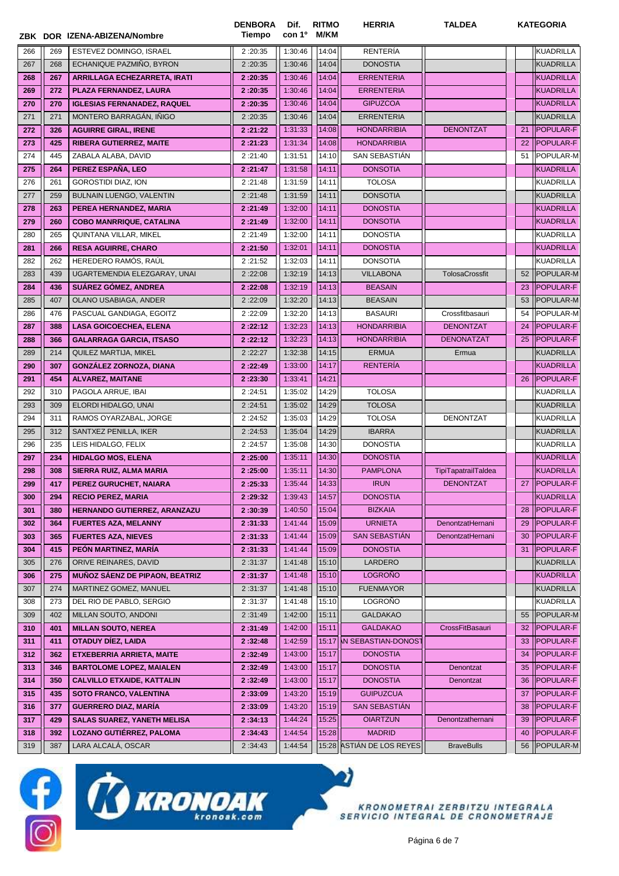|            |            | ZBK DOR IZENA-ABIZENA/Nombre                                | <b>DENBORA</b><br><b>Tiempo</b> | Dif.<br>con 1 <sup>o</sup> | <b>RITMO</b><br>M/KM | <b>HERRIA</b>              | <b>TALDEA</b>       |    | <b>KATEGORIA</b> |
|------------|------------|-------------------------------------------------------------|---------------------------------|----------------------------|----------------------|----------------------------|---------------------|----|------------------|
| 266        | 269        | ESTEVEZ DOMINGO, ISRAEL                                     | 2:20:35                         | 1:30:46                    | 14:04                | RENTERÍA                   |                     |    | <b>KUADRILLA</b> |
| 267        | 268        | ECHANIQUE PAZMIÑO, BYRON                                    | 2:20:35                         | 1:30:46                    | 14:04                | <b>DONOSTIA</b>            |                     |    | <b>KUADRILLA</b> |
| 268        | 267        | ARRILLAGA ECHEZARRETA, IRATI                                | 2:20:35                         | 1:30:46                    | 14:04                | <b>ERRENTERIA</b>          |                     |    | KUADRILLA        |
| 269        | 272        | PLAZA FERNANDEZ, LAURA                                      | 2:20:35                         | 1:30:46                    | 14:04                | <b>ERRENTERIA</b>          |                     |    | <b>KUADRILLA</b> |
| 270        | 270        | <b>IGLESIAS FERNANADEZ, RAQUEL</b>                          | 2:20:35                         | 1:30:46                    | 14:04                | <b>GIPUZCOA</b>            |                     |    | KUADRILLA        |
| 271        | 271        | MONTERO BARRAGÁN, IÑIGO                                     | 2:20:35                         | 1:30:46                    | 14:04                | <b>ERRENTERIA</b>          |                     |    | <b>KUADRILLA</b> |
| 272        | 326        | <b>AGUIRRE GIRAL, IRENE</b>                                 | 2:21:22                         | 1:31:33                    | 14:08                | <b>HONDARRIBIA</b>         | <b>DENONTZAT</b>    | 21 | <b>POPULAR-F</b> |
| 273        | 425        | <b>RIBERA GUTIERREZ, MAITE</b>                              | 2:21:23                         | 1:31:34                    | 14:08                | <b>HONDARRIBIA</b>         |                     | 22 | POPULAR-F        |
| 274        | 445        | ZABALA ALABA, DAVID                                         | 2:21:40                         | 1:31:51                    | 14:10                | SAN SEBASTIAN              |                     | 51 | POPULAR-M        |
| 275        | 264        | PEREZ ESPAÑA, LEO                                           | 2:21:47                         | 1:31:58                    | 14:11                | <b>DONSOTIA</b>            |                     |    | <b>KUADRILLA</b> |
| 276        | 261        | <b>GOROSTIDI DIAZ, ION</b>                                  | 2:21:48                         | 1:31:59                    | 14:11                | <b>TOLOSA</b>              |                     |    | KUADRILLA        |
| 277        | 259        | BULNAIN LUENGO, VALENTIN                                    | 2:21:48                         | 1:31:59                    | 14:11                | <b>DONSOTIA</b>            |                     |    | <b>KUADRILLA</b> |
| 278        | 263        | PEREA HERNANDEZ, MARIA                                      | 2:21:49                         | 1:32:00                    | 14:11                | <b>DONOSTIA</b>            |                     |    | KUADRILLA        |
| 279        | 260        | <b>COBO MANRRIQUE, CATALINA</b>                             | 2:21:49                         | 1:32:00                    | 14:11                | <b>DONSOTIA</b>            |                     |    | <b>KUADRILLA</b> |
| 280        | 265        | QUINTANA VILLAR, MIKEL                                      | 2:21:49                         | 1:32:00                    | 14:11                | <b>DONOSTIA</b>            |                     |    | <b>KUADRILLA</b> |
| 281        | 266        | <b>RESA AGUIRRE, CHARO</b>                                  | 2:21:50                         | 1:32:01                    | 14:11                | <b>DONOSTIA</b>            |                     |    | KUADRILLA        |
| 282        | 262        | HEREDERO RAMÓS, RAÚL                                        | 2:21:52                         | 1:32:03                    | 14:11                | <b>DONSOTIA</b>            |                     |    | <b>KUADRILLA</b> |
| 283        | 439        | UGARTEMENDIA ELEZGARAY, UNAI                                | 2:22:08                         | 1:32:19                    | 14:13                | <b>VILLABONA</b>           | TolosaCrossfit      | 52 | POPULAR-M        |
| 284        | 436        | SUÁREZ GÓMEZ, ANDREA                                        | 2:22:08                         | 1:32:19                    | 14:13                | <b>BEASAIN</b>             |                     | 23 | POPULAR-F        |
| 285        | 407        | OLANO USABIAGA, ANDER                                       | 2:22:09                         | 1:32:20                    | 14:13                | <b>BEASAIN</b>             |                     | 53 | POPULAR-M        |
| 286        | 476        | PASCUAL GANDIAGA, EGOITZ                                    | 2:22:09                         | 1:32:20                    | 14:13                | <b>BASAURI</b>             | Crossfitbasauri     | 54 | POPULAR-M        |
| 287        | 388        | <b>LASA GOICOECHEA, ELENA</b>                               | 2:22:12                         | 1:32:23                    | 14:13                | <b>HONDARRIBIA</b>         | <b>DENONTZAT</b>    | 24 | POPULAR-F        |
| 288        | 366        | <b>GALARRAGA GARCIA, ITSASO</b>                             | 2:22:12                         | 1:32:23                    | 14:13                | <b>HONDARRIBIA</b>         | <b>DENONATZAT</b>   | 25 | <b>POPULAR-F</b> |
| 289        | 214        | QUILEZ MARTIJA, MIKEL                                       | 2:22:27                         | 1:32:38                    | 14:15                | <b>ERMUA</b>               | Ermua               |    | <b>KUADRILLA</b> |
| 290        | 307        | <b>GONZALEZ ZORNOZA, DIANA</b>                              | 2:22:49                         | 1:33:00                    | 14:17                | <b>RENTERÍA</b>            |                     |    | <b>KUADRILLA</b> |
| 291        | 454        | <b>ALVAREZ, MAITANE</b>                                     | 2:23:30                         | 1:33:41                    | 14:21                |                            |                     | 26 | <b>POPULAR-F</b> |
| 292        | 310        | PAGOLA ARRUE, IBAI                                          | 2:24:51                         | 1:35:02                    | 14:29                | <b>TOLOSA</b>              |                     |    | <b>KUADRILLA</b> |
| 293        | 309        | ELORDI HIDALGO, UNAI                                        | 2:24:51                         | 1:35:02                    | 14:29                | <b>TOLOSA</b>              |                     |    | KUADRILLA        |
| 294        | 311        | RAMOS OYARZABAL, JORGE                                      | 2:24:52                         | 1:35:03                    | 14:29                | <b>TOLOSA</b>              | DENONTZAT           |    | KUADRILLA        |
| 295        | 312        | SANTXEZ PENILLA, IKER                                       | 2:24:53                         | 1:35:04                    | 14:29                | <b>IBARRA</b>              |                     |    | <b>KUADRILLA</b> |
| 296        | 235        | LEIS HIDALGO, FELIX                                         | 2:24:57                         | 1:35:08                    | 14:30                | <b>DONOSTIA</b>            |                     |    | KUADRILLA        |
| 297        | 234        | <b>HIDALGO MOS, ELENA</b>                                   | 2:25:00                         | 1:35:11                    | 14:30                | <b>DONOSTIA</b>            |                     |    | <b>KUADRILLA</b> |
| 298        | 308        | SIERRA RUIZ, ALMA MARIA                                     | 2:25:00                         | 1:35:11                    | 14:30                | <b>PAMPLONA</b>            | TipiTapatrailTaldea |    | <b>KUADRILLA</b> |
| 299        |            |                                                             | 2:25:33                         | 1:35:44                    | 14:33                | <b>IRUN</b>                | <b>DENONTZAT</b>    |    | 27 POPULAR-F     |
| 300        | 417<br>294 | PEREZ GURUCHET, NAIARA<br><b>RECIO PEREZ, MARIA</b>         | 2:29:32                         |                            | 14:57                | <b>DONOSTIA</b>            |                     |    | <b>KUADRILLA</b> |
|            | 380        |                                                             |                                 | 1:39:43<br>1:40:50         | 15:04                | <b>BIZKAIA</b>             |                     | 28 | POPULAR-F        |
| 301<br>302 | 364        | HERNANDO GUTIERREZ, ARANZAZU<br><b>FUERTES AZA, MELANNY</b> | 2:30:39<br>2:31:33              | 1:41:44                    | 15:09                | <b>URNIETA</b>             | DenontzatHernani    | 29 | POPULAR-F        |
|            | 365        |                                                             |                                 |                            | 15:09                | <b>SAN SEBASTIÁN</b>       |                     |    | POPULAR-F        |
| 303        |            | <b>FUERTES AZA, NIEVES</b><br>PEÓN MARTINEZ, MARÍA          | 2:31:33                         | 1:41:44                    |                      |                            | DenontzatHernani    | 30 |                  |
| 304        | 415        |                                                             | 2:31:33                         | 1:41:44                    | 15:09                | <b>DONOSTIA</b>            |                     | 31 | POPULAR-F        |
| 305        | 276        | ORIVE REINARES, DAVID                                       | 2:31:37                         | 1:41:48                    | 15:10                | LARDERO                    |                     |    | <b>KUADRILLA</b> |
| 306        | 275        | <b>MUÑOZ SÁENZ DE PIPAON, BEATRIZ</b>                       | 2:31:37                         | 1:41:48                    | 15:10                | <b>LOGROÑO</b>             |                     |    | <b>KUADRILLA</b> |
| 307        | 274        | MARTINEZ GOMEZ, MANUEL                                      | 2:31:37                         | 1:41:48                    | 15:10                | <b>FUENMAYOR</b>           |                     |    | <b>KUADRILLA</b> |
| 308        | 273        | DEL RIO DE PABLO, SERGIO                                    | 2:31:37                         | 1:41:48                    | 15:10                | <b>LOGROÑO</b>             |                     |    | <b>KUADRILLA</b> |
| 309        | 402        | MILLAN SOUTO, ANDONI                                        | 2:31:49                         | 1:42:00                    | 15:11                | <b>GALDAKAO</b>            |                     | 55 | POPULAR-M        |
| 310        | 401        | <b>MILLAN SOUTO, NEREA</b>                                  | 2:31:49                         | 1:42:00                    | 15:11                | <b>GALDAKAO</b>            | CrossFitBasauri     | 32 | POPULAR-F        |
| 311        | 411        | <b>OTADUY DIEZ, LAIDA</b>                                   | 2:32:48                         | 1:42:59                    | 15:17                | <b>IN SEBASTIAN-DONOST</b> |                     | 33 | POPULAR-F        |
| 312        | 362        | <b>ETXEBERRIA ARRIETA, MAITE</b>                            | 2:32:49                         | 1:43:00                    | 15:17                | <b>DONOSTIA</b>            |                     | 34 | POPULAR-F        |
| 313        | 346        | <b>BARTOLOME LOPEZ, MAIALEN</b>                             | 2:32:49                         | 1:43:00                    | 15:17                | <b>DONOSTIA</b>            | Denontzat           | 35 | POPULAR-F        |
| 314        | 350        | <b>CALVILLO ETXAIDE, KATTALIN</b>                           | 2:32:49                         | 1:43:00                    | 15:17                | <b>DONOSTIA</b>            | Denontzat           | 36 | POPULAR-F        |
| 315        | 435        | <b>SOTO FRANCO, VALENTINA</b>                               | 2:33:09                         | 1:43:20                    | 15:19                | <b>GUIPUZCUA</b>           |                     | 37 | POPULAR-F        |
| 316        | 377        | <b>GUERRERO DIAZ, MARÍA</b>                                 | 2:33:09                         | 1:43:20                    | 15:19                | SAN SEBASTIÁN              |                     | 38 | POPULAR-F        |
| 317        | 429        | <b>SALAS SUAREZ, YANETH MELISA</b>                          | 2:34:13                         | 1:44:24                    | 15:25                | <b>OIARTZUN</b>            | Denontzathernani    | 39 | POPULAR-F        |
| 318        | 392        | LOZANO GUTIÉRREZ, PALOMA                                    | 2:34:43                         | 1:44:54                    | 15:28                | <b>MADRID</b>              |                     | 40 | POPULAR-F        |
| 319        | 387        | LARA ALCALÁ, OSCAR                                          | 2:34:43                         | 1:44:54                    |                      | 15:28 ASTIÁN DE LOS REYES  | <b>BraveBulls</b>   | 56 | POPULAR-M        |